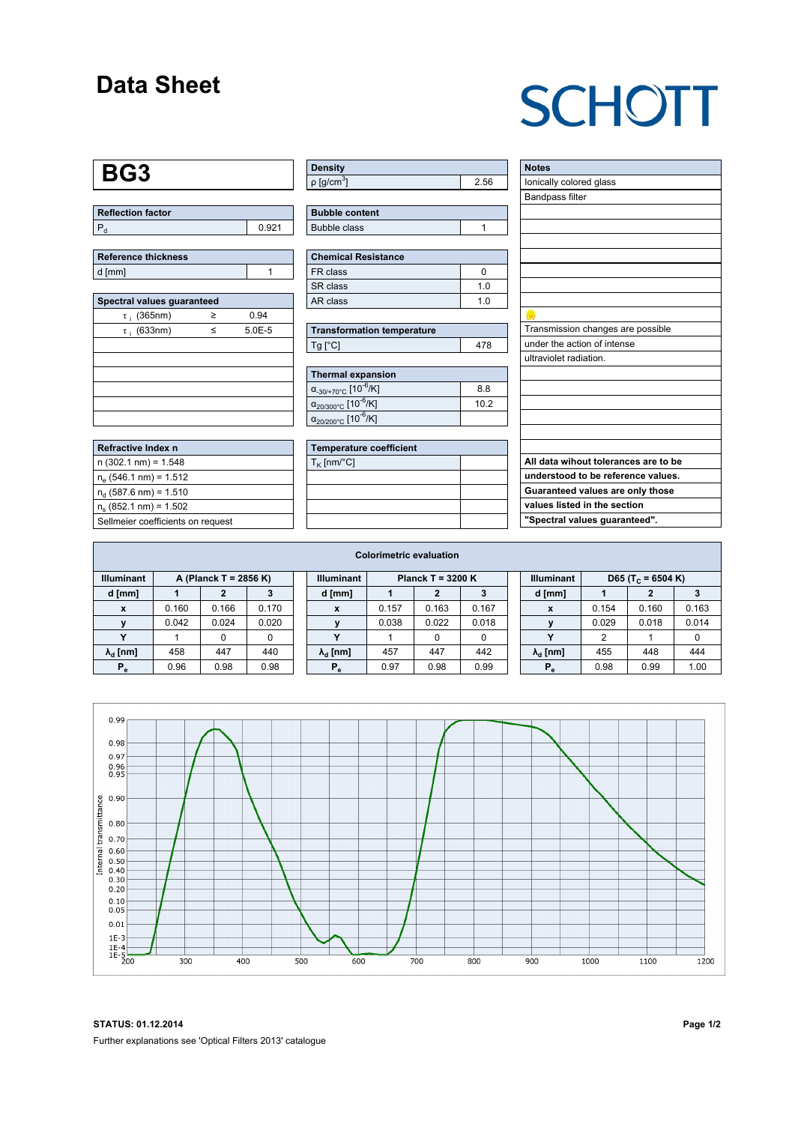## **Data Sheet**

## **SCHOTT**

#### **BG3**

| <b>Reflection factor</b> |  |
|--------------------------|--|
|                          |  |

| Reference thickness |  |
|---------------------|--|
| d [mm]              |  |

| Spectral values guaranteed |   |            |  |  |  |  |  |  |  |
|----------------------------|---|------------|--|--|--|--|--|--|--|
| $\tau$ ; (365nm)           | ≥ | 0.94       |  |  |  |  |  |  |  |
| $\tau$ ; (633nm)           | ≤ | $5.0E - 5$ |  |  |  |  |  |  |  |
|                            |   |            |  |  |  |  |  |  |  |
|                            |   |            |  |  |  |  |  |  |  |
|                            |   |            |  |  |  |  |  |  |  |
|                            |   |            |  |  |  |  |  |  |  |
|                            |   |            |  |  |  |  |  |  |  |
|                            |   |            |  |  |  |  |  |  |  |

| Refractive Index n                |
|-----------------------------------|
| $n(302.1 nm) = 1.548$             |
| $n_e$ (546.1 nm) = 1.512          |
| $n_{d}$ (587.6 nm) = 1.510        |
| $n_e$ (852.1 nm) = 1.502          |
| Sellmeier coefficients on request |

| <b>Density</b>              |     |
|-----------------------------|-----|
| $\rho$ [g/cm <sup>3</sup> ] | .56 |

| <b>Bubble content</b> |  |
|-----------------------|--|
| Bubble class          |  |

| <b>Chemical Resistance</b> |     |  |  |  |  |  |  |
|----------------------------|-----|--|--|--|--|--|--|
| FR class                   |     |  |  |  |  |  |  |
| SR class                   | 1 በ |  |  |  |  |  |  |
| AR class                   | 1 በ |  |  |  |  |  |  |

| <b>Transformation temperature</b> |     |  |  |  |  |  |
|-----------------------------------|-----|--|--|--|--|--|
| $Tg$ [ $^{\circ}$ C]              | 478 |  |  |  |  |  |

| Thermal expansion                                 |     |  |  |  |  |  |  |
|---------------------------------------------------|-----|--|--|--|--|--|--|
| $\alpha_{.30/+70\degree}$ C [10 <sup>-6</sup> /K] | 8.8 |  |  |  |  |  |  |
| $\alpha_{20/300^{\circ}C}$ [10 $^{-6}$ /K]        | 102 |  |  |  |  |  |  |
| $\alpha_{20/200^{\circ}C}$ [10 <sup>-6</sup> /K]  |     |  |  |  |  |  |  |

| <b>Temperature coefficient</b> |  |  |  |  |  |  |  |
|--------------------------------|--|--|--|--|--|--|--|
| $T_K$ [nm/°C]                  |  |  |  |  |  |  |  |
|                                |  |  |  |  |  |  |  |
|                                |  |  |  |  |  |  |  |
|                                |  |  |  |  |  |  |  |
|                                |  |  |  |  |  |  |  |

| <b>Notes</b>                         |
|--------------------------------------|
| lonically colored glass              |
| <b>Bandpass filter</b>               |
|                                      |
|                                      |
|                                      |
|                                      |
|                                      |
|                                      |
|                                      |
|                                      |
| Transmission changes are possible    |
| under the action of intense          |
| ultraviolet radiation.               |
|                                      |
|                                      |
|                                      |
|                                      |
|                                      |
|                                      |
| All data wihout tolerances are to be |
| understood to be reference values.   |
| Guaranteed values are only those     |
| values listed in the section         |
| "Spectral values guaranteed".        |

| <b>Colorimetric evaluation</b>             |       |       |       |                                               |                        |       |       |                   |  |                               |       |       |       |
|--------------------------------------------|-------|-------|-------|-----------------------------------------------|------------------------|-------|-------|-------------------|--|-------------------------------|-------|-------|-------|
| <b>Illuminant</b><br>A (Planck T = 2856 K) |       |       |       | <b>Planck T = 3200 K</b><br><b>Illuminant</b> |                        |       |       | <b>Illuminant</b> |  | D65 (T <sub>c</sub> = 6504 K) |       |       |       |
| d [mm]                                     |       |       |       |                                               | d [mm]                 |       |       |                   |  | d [mm]                        |       | 2     |       |
|                                            | 0.160 | 0.166 | 0.170 |                                               | X                      | 0.157 | 0.163 | 0.167             |  | X                             | 0.154 | 0.160 | 0.163 |
|                                            | 0.042 | 0.024 | 0.020 |                                               |                        | 0.038 | 0.022 | 0.018             |  |                               | 0.029 | 0.018 | 0.014 |
|                                            |       |       | 0     |                                               |                        |       |       | 0                 |  |                               | ົ     |       |       |
| $\lambda_{\rm d}$ [nm]                     | 458   | 447   | 440   |                                               | $\lambda_{\rm d}$ [nm] | 457   | 447   | 442               |  | $\lambda_{\rm d}$ [nm]        | 455   | 448   | 444   |
| $P_e$                                      | 0.96  | 0.98  | 0.98  |                                               | $P_e$                  | 0.97  | 0.98  | 0.99              |  | $P_e$                         | 0.98  | 0.99  | 1.00  |



**STATUS: 01.12.2014 Page 1/2** Further explanations see 'Optical Filters 2013' catalogue